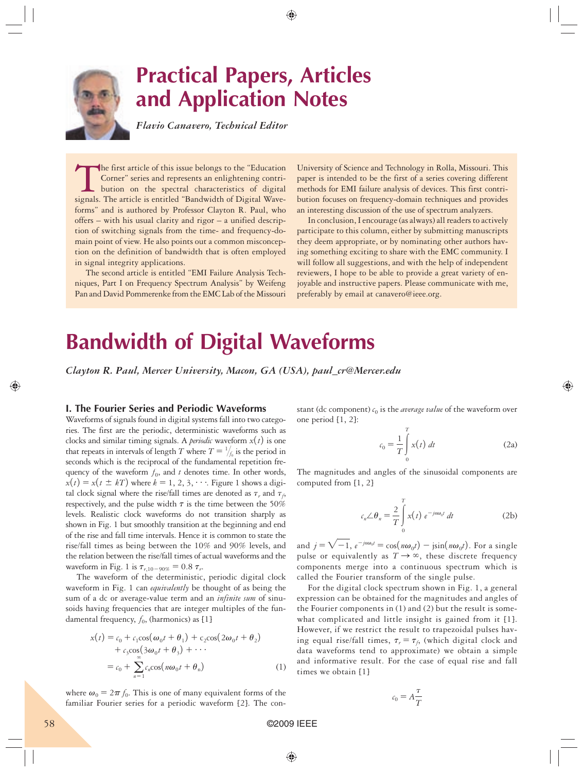

# **Practical Papers, Articles and Application Notes**

*Flavio Canavero, Technical Editor*

The first article of this issue belongs to the "Education<br>Corner" series and represents an enlightening contri-<br>bution on the spectral characteristics of digital<br>signals. The article is entitled "Bandwidth of Digital Wave-Corner" series and represents an enlightening contribution on the spectral characteristics of digital signals. The article is entitled "Bandwidth of Digital Waveforms" and is authored by Professor Clayton R. Paul, who offers – with his usual clarity and rigor – a unified description of switching signals from the time- and frequency-domain point of view. He also points out a common misconception on the definition of bandwidth that is often employed in signal integrity applications.

The second article is entitled "EMI Failure Analysis Techniques, Part I on Frequency Spectrum Analysis" by Weifeng Pan and David Pommerenke from the EMC Lab of the Missouri

University of Science and Technology in Rolla, Missouri. This paper is intended to be the first of a series covering different methods for EMI failure analysis of devices. This first contribution focuses on frequency-domain techniques and provides an interesting discussion of the use of spectrum analyzers.

In conclusion, I encourage (as always) all readers to actively participate to this column, either by submitting manuscripts they deem appropriate, or by nominating other authors having something exciting to share with the EMC community. I will follow all suggestions, and with the help of independent reviewers, I hope to be able to provide a great variety of enjoyable and instructive papers. Please communicate with me, preferably by email at canavero@ieee.org.

# **Bandwidth of Digital Waveforms**

*Clayton R. Paul, Mercer University, Macon, GA (USA), paul\_cr@Mercer.edu*

# **I. The Fourier Series and Periodic Waveforms**

Waveforms of signals found in digital systems fall into two categories. The first are the periodic, deterministic waveforms such as clocks and similar timing signals. A *periodic* waveform  $x(t)$  is one that repeats in intervals of length *T* where  $T = \frac{1}{f_0}$  is the period in seconds which is the reciprocal of the fundamental repetition frequency of the waveform  $f_0$ , and  $t$  denotes time. In other words,  $x(t) = x(t \pm kT)$  where  $k = 1, 2, 3, \dots$ . Figure 1 shows a digital clock signal where the rise/fall times are denoted as  $\tau_r$  and  $\tau_f$ , respectively, and the pulse width  $\tau$  is the time between the 50% levels. Realistic clock waveforms do not transition sharply as shown in Fig. 1 but smoothly transition at the beginning and end of the rise and fall time intervals. Hence it is common to state the rise/fall times as being between the 10% and 90% levels, and the relation between the rise/fall times of actual waveforms and the waveform in Fig. 1 is  $\tau_{r,10-90\%} = 0.8 \tau_r$ .

The waveform of the deterministic, periodic digital clock waveform in Fig. 1 can *equivalently* be thought of as being the sum of a dc or average-value term and an *infinite sum* of sinusoids having frequencies that are integer multiples of the fundamental frequency,  $f_0$ , (harmonics) as [1]

$$
x(t) = c_0 + c_1 \cos(\omega_0 t + \theta_1) + c_2 \cos(2\omega_0 t + \theta_2)
$$
  
+ 
$$
c_3 \cos(3\omega_0 t + \theta_3) + \cdots
$$
  
= 
$$
c_0 + \sum_{n=1}^{\infty} c_n \cos(n\omega_0 t + \theta_n)
$$
 (1)

where  $\omega_0 = 2\pi f_0$ . This is one of many equivalent forms of the familiar Fourier series for a periodic waveform [2]. The constant (dc component)  $c_0$  is the *average value* of the waveform over one period [1, 2]:

$$
c_0 = \frac{1}{T} \int\limits_0^T x(t) dt
$$
 (2a)

The magnitudes and angles of the sinusoidal components are computed from [1, 2]

$$
c_n \angle \theta_n = \frac{2}{T} \int_0^T x(t) e^{-jn\omega_0 t} dt
$$
 (2b)

and  $j = \sqrt{-1}$ ,  $e^{-jn\omega_0 t} = \cos(n\omega_0 t) - j\sin(n\omega_0 t)$ . For a single pulse or equivalently as  $T \rightarrow \infty$ , these discrete frequency components merge into a continuous spectrum which is called the Fourier transform of the single pulse.

For the digital clock spectrum shown in Fig. 1, a general expression can be obtained for the magnitudes and angles of the Fourier components in (1) and (2) but the result is somewhat complicated and little insight is gained from it [1]. However, if we restrict the result to trapezoidal pulses having equal rise/fall times,  $\tau_r = \tau_f$ , (which digital clock and data waveforms tend to approximate) we obtain a simple and informative result. For the case of equal rise and fall times we obtain [1]

$$
c_0 = A \frac{\tau}{T}
$$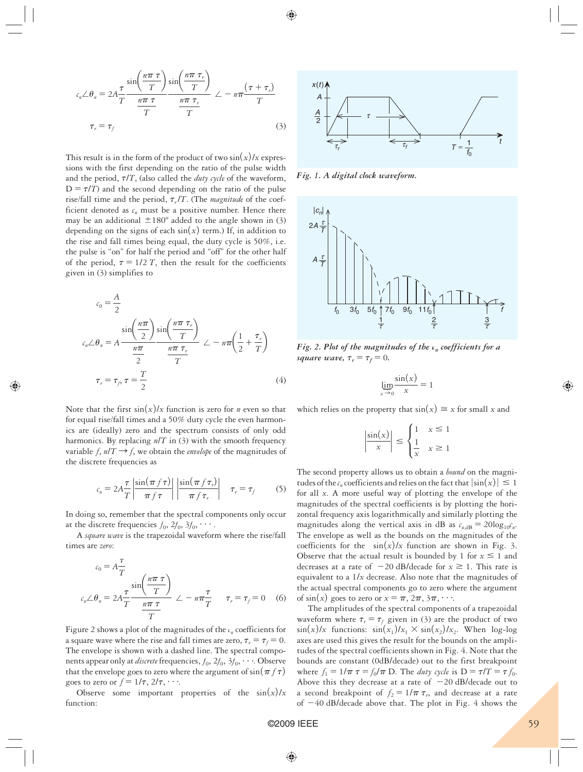$$
c_n \angle \theta_n = 2A \frac{\tau}{T} \frac{\sin\left(\frac{n\pi \tau}{T}\right)}{\frac{n\pi \tau}{T}} \frac{\sin\left(\frac{n\pi \tau}{T}\right)}{\frac{n\pi \tau}{T}} \angle -n\pi \frac{(\tau + \tau_r)}{T}
$$
  

$$
\tau_r = \tau_f
$$
 (3)

This result is in the form of the product of two  $\sin(x)/x$  expressions with the first depending on the ratio of the pulse width and the period,  $\tau/T$ , (also called the *duty cycle* of the waveform,  $D = \tau/T$ ) and the second depending on the ratio of the pulse rise/fall time and the period,  $\tau_r/T$ . (The *magnitude* of the coefficient denoted as  $c_n$  must be a positive number. Hence there may be an additional  $\pm 180^\circ$  added to the angle shown in (3) depending on the signs of each  $sin(x)$  term.) If, in addition to the rise and fall times being equal, the duty cycle is 50%, i.e. the pulse is "on" for half the period and "off" for the other half of the period,  $\tau = 1/2 T$ , then the result for the coefficients given in (3) simplifies to

$$
c_0 = \frac{A}{2}
$$
  
\n
$$
c_n \angle \theta_n = A \frac{\sin\left(\frac{n\pi}{2}\right) \sin\left(\frac{n\pi \tau_r}{T}\right)}{\frac{n\pi}{2}} \angle -n\pi \left(\frac{1}{2} + \frac{\tau_r}{T}\right)
$$
  
\n
$$
\tau_r = \tau_f, \tau = \frac{T}{2}
$$
\n(4)

Note that the first  $\sin(x)/x$  function is zero for *n* even so that for equal rise/fall times and a 50% duty cycle the even harmonics are (ideally) zero and the spectrum consists of only odd harmonics. By replacing *n*/*T* in (3) with the smooth frequency variable  $f, n/T \rightarrow f$ , we obtain the *envelope* of the magnitudes of the discrete frequencies as

$$
c_n = 2A \frac{\tau}{T} \left| \frac{\sin(\pi f \tau)}{\pi f \tau} \right| \left| \frac{\sin(\pi f \tau_r)}{\pi f \tau_r} \right| \quad \tau_r = \tau_f \tag{5}
$$

In doing so, remember that the spectral components only occur at the discrete frequencies  $f_0$ ,  $2f_0$ ,  $3f_0$ ,  $\cdots$ .

A *square wave* is the trapezoidal waveform where the rise/fall times are *zero*:

$$
c_0 = A \frac{\tau}{T}
$$
  

$$
c_n \angle \theta_n = 2A \frac{\tau}{T} \frac{\sin\left(\frac{n\pi \tau}{T}\right)}{\frac{n\pi \tau}{T}} \angle -n\pi \frac{\tau}{T} \qquad \tau_r = \tau_f = 0 \quad (6)
$$

Figure 2 shows a plot of the magnitudes of the  $c_n$  coefficients for a square wave where the rise and fall times are zero,  $\tau_r = \tau_f = 0$ . The envelope is shown with a dashed line. The spectral components appear only at *discrete* frequencies,  $f_0$ ,  $2f_0$ ,  $3f_0$ ,  $\cdots$  Observe that the envelope goes to zero where the argument of  $sin(\pi f \tau)$ goes to zero or  $f = 1/\tau$ ,  $2/\tau$ ,  $\cdots$ .

Observe some important properties of the  $sin(x)/x$ function:



*Fig. 1. A digital clock waveform.* 



*Fig. 2. Plot of the magnitudes of the c<sub>n</sub> coefficients for a square wave,*  $\tau_r = \tau_f = 0$ *.* 

$$
\lim_{x \to 0} \frac{\sin(x)}{x} = 1
$$

which relies on the property that  $sin(x) \approx x$  for small *x* and

$$
\left|\frac{\sin(x)}{x}\right| \le \begin{cases} 1 & x \le 1 \\ \frac{1}{x} & x \ge 1 \end{cases}
$$

The second property allows us to obtain a *bound* on the magnitudes of the  $c_n$  coefficients and relies on the fact that  $|\sin(x)| \leq 1$ for all *x*. A more useful way of plotting the envelope of the magnitudes of the spectral coefficients is by plotting the horizontal frequency axis logarithmically and similarly plotting the magnitudes along the vertical axis in dB as  $c_{n,\text{dB}} = 20\log_{10} c_n$ . The envelope as well as the bounds on the magnitudes of the coefficients for the  $sin(x)/x$  function are shown in Fig. 3. Observe that the actual result is bounded by 1 for  $x \le 1$  and decreases at a rate of  $-20$  dB/decade for  $x \ge 1$ . This rate is equivalent to a 1/*x* decrease. Also note that the magnitudes of the actual spectral components go to zero where the argument of  $sin(x)$  goes to zero or  $x = \pi, 2\pi, 3\pi, \cdots$ .

The amplitudes of the spectral components of a trapezoidal waveform where  $\tau_r = \tau_f$  given in (3) are the product of two  $\sin(x)/x$  functions:  $\sin(x_1)/x_1 \times \sin(x_2)/x_2$ . When log-log axes are used this gives the result for the bounds on the amplitudes of the spectral coefficients shown in Fig. 4. Note that the bounds are constant (0dB/decade) out to the first breakpoint where  $f_1 = 1/\pi \tau = f_0/\pi$  D. The *duty cycle* is  $D = \tau/T = \tau f_0$ . Above this they decrease at a rate of  $-20$  dB/decade out to a second breakpoint of  $f_2 = 1/\pi \tau_r$ , and decrease at a rate of  $-40$  dB/decade above that. The plot in Fig. 4 shows the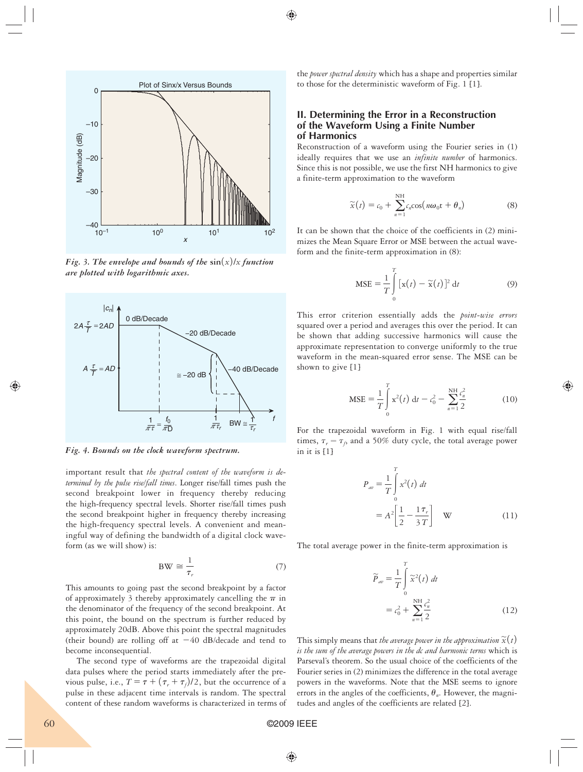

*Fig. 3. The envelope and bounds of the*  $\sin(x)/x$  *function are plotted with logarithmic axes.*



*Fig. 4. Bounds on the clock waveform spectrum.*

 important result that *the spectral content of the waveform is determined by the pulse rise/fall times*. Longer rise/fall times push the second breakpoint lower in frequency thereby reducing the high-frequency spectral levels. Shorter rise/fall times push the second breakpoint higher in frequency thereby increasing the high-frequency spectral levels. A convenient and meaningful way of defining the bandwidth of a digital clock waveform (as we will show) is:

$$
BW \cong \frac{1}{\tau_r} \tag{7}
$$

This amounts to going past the second breakpoint by a factor of approximately 3 thereby approximately cancelling the  $\pi$  in the denominator of the frequency of the second breakpoint. At this point, the bound on the spectrum is further reduced by approximately 20dB. Above this point the spectral magnitudes (their bound) are rolling off at  $-40$  dB/decade and tend to become inconsequential.

The second type of waveforms are the trapezoidal digital data pulses where the period starts immediately after the previous pulse, i.e.,  $T = \tau + (\tau_r + \tau_f)/2$ , but the occurrence of a pulse in these adjacent time intervals is random. The spectral content of these random waveforms is characterized in terms of the *power spectral density* which has a shape and properties similar to those for the deterministic waveform of Fig. 1 [1].

# **II. Determining the Error in a Reconstruction of the Waveform Using a Finite Number of Harmonics**

Reconstruction of a waveform using the Fourier series in (1) ideally requires that we use an *infinite number* of harmonics. Since this is not possible, we use the first NH harmonics to give a finite-term approximation to the waveform

$$
\widetilde{x}(t) = c_0 + \sum_{n=1}^{NH} c_n \cos(n\omega_0 t + \theta_n)
$$
 (8)

It can be shown that the choice of the coefficients in (2) minimizes the Mean Square Error or MSE between the actual waveform and the finite-term approximation in (8):

$$
\text{MSE} = \frac{1}{T} \int_{0}^{T} \left[ \mathbf{x}(t) - \widetilde{\mathbf{x}}(t) \right]^2 \, \mathrm{d}t \tag{9}
$$

This error criterion essentially adds the *point-wise errors* squared over a period and averages this over the period. It can be shown that adding successive harmonics will cause the approximate representation to converge uniformly to the true waveform in the mean-squared error sense. The MSE can be shown to give [1]

$$
\text{MSE} = \frac{1}{T} \int_{0}^{T} \mathbf{x}^{2}(t) dt - c_{0}^{2} - \sum_{n=1}^{N} \frac{c_{n}^{2}}{2}
$$
 (10)

For the trapezoidal waveform in Fig. 1 with equal rise/fall times,  $\tau_r = \tau_f$ , and a 50% duty cycle, the total average power in it is [1]

$$
P_{av} = \frac{1}{T} \int_{0}^{T} x^2(t) dt
$$
  
=  $A^2 \left[ \frac{1}{2} - \frac{1 \tau_r}{3 T} \right]$  W (11)

The total average power in the finite-term approximation is

$$
\widetilde{P}_{av} = \frac{1}{T} \int_{0}^{T} \widetilde{x}^{2}(t) dt
$$

$$
= c_{0}^{2} + \sum_{n=1}^{NH} \frac{c_{n}^{2}}{2}
$$
(12)

This simply means that *the average power in the approximation*  $\widetilde{x}(t)$ *is the sum of the average powers in the dc and harmonic terms* which is Parseval's theorem. So the usual choice of the coefficients of the Fourier series in (2) minimizes the difference in the total average powers in the waveforms. Note that the MSE seems to ignore errors in the angles of the coefficients,  $\theta_n$ . However, the magnitudes and angles of the coefficients are related [2].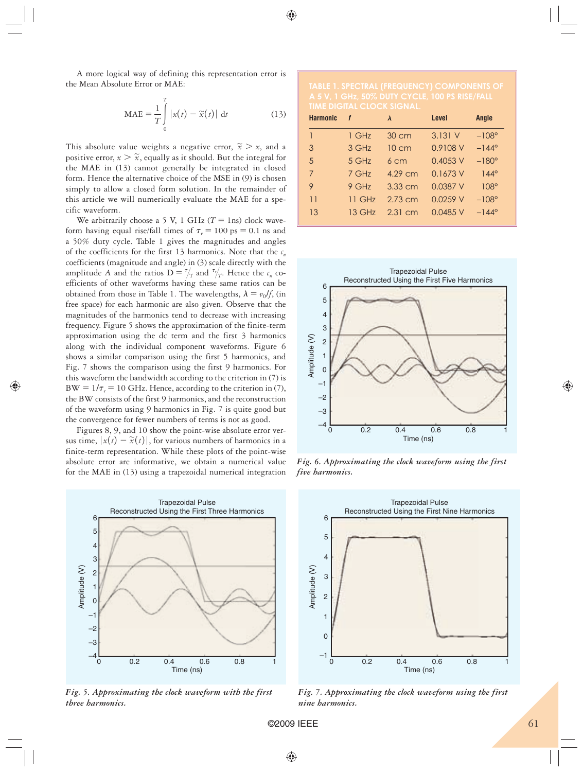A more logical way of defining this representation error is the Mean Absolute Error or MAE:

$$
\text{MAE} = \frac{1}{T} \int_{0}^{T} |x(t) - \widetilde{x}(t)| \, \mathrm{d}t \tag{13}
$$

This absolute value weights a negative error,  $\widetilde{x} > x$ , and a positive error,  $x > \tilde{x}$ , equally as it should. But the integral for the MAE in (13) cannot generally be integrated in closed form. Hence the alternative choice of the MSE in (9) is chosen simply to allow a closed form solution. In the remainder of this article we will numerically evaluate the MAE for a specific waveform.

We arbitrarily choose a 5 V, 1 GHz  $(T = 1$ ns) clock waveform having equal rise/fall times of  $\tau_r = 100 \text{ ps} = 0.1 \text{ ns}$  and a 50% duty cycle. Table 1 gives the magnitudes and angles of the coefficients for the first 13 harmonics. Note that the  $c_n$ coefficients (magnitude and angle) in (3) scale directly with the amplitude *A* and the ratios  $D = \frac{\tau}{T}$  and  $\frac{\tau}{T}$ . Hence the  $c_n$  coefficients of other waveforms having these same ratios can be obtained from those in Table 1. The wavelengths,  $\lambda = v_0/f$ , (in free space) for each harmonic are also given. Observe that the magnitudes of the harmonics tend to decrease with increasing frequency. Figure 5 shows the approximation of the finite-term approximation using the dc term and the first 3 harmonics along with the individual component waveforms. Figure 6 shows a similar comparison using the first 5 harmonics, and Fig. 7 shows the comparison using the first 9 harmonics. For this waveform the bandwidth according to the criterion in (7) is  $BW = 1/\tau_r = 10$  GHz. Hence, according to the criterion in (7), the BW consists of the first 9 harmonics, and the reconstruction of the waveform using 9 harmonics in Fig. 7 is quite good but the convergence for fewer numbers of terms is not as good.

Figures 8, 9, and 10 show the point-wise absolute error versus time,  $|x(t) - \tilde{x}(t)|$ , for various numbers of harmonics in a finite-term representation. While these plots of the point-wise absolute error are informative, we obtain a numerical value for the MAE in (13) using a trapezoidal numerical integration



*Fig. 5. Approximating the clock waveform with the first three harmonics.*

| <b>Harmonic</b> | f       | $\lambda$       | Level      | Angle          |
|-----------------|---------|-----------------|------------|----------------|
| 1               | 1 GHz   | $30 \text{ cm}$ | 3.131V     | $-108^\circ$   |
| 3               | 3 GHz   | $10 \text{ cm}$ | 0.9108 V   | $-144^{\circ}$ |
| 5               | 5 GHz   | 6 <sub>cm</sub> | $0.4053$ V | $-180^\circ$   |
| 7               | $7$ GHz | 4.29 cm         | 0.1673V    | $144^\circ$    |
| 9               | $9$ GHz | $3.33$ cm       | 0.0387 V   | $108^\circ$    |
| 11              | 11 GHz  | $2.73$ cm       | $0.0259$ V | $-108^\circ$   |
| 13              | 13 GHz  | $2.31$ cm       | 0.0485 V   | $-144^{\circ}$ |



*Fig. 6. Approximating the clock waveform using the first five harmonics.*



*Fig. 7. Approximating the clock waveform using the first nine harmonics.*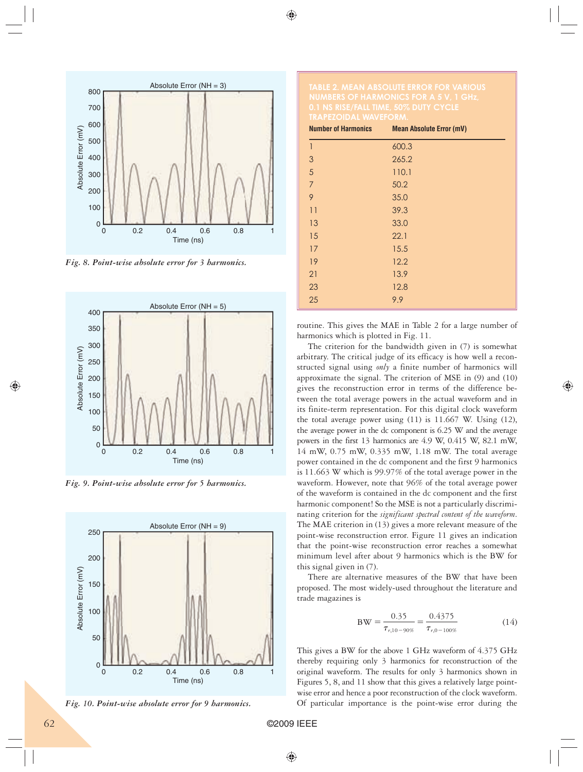

*Fig. 8. Point-wise absolute error for 3 harmonics.*



*Fig. 9. Point-wise absolute error for 5 harmonics.*



*Fig. 10. Point-wise absolute error for 9 harmonics.*

| <b>Number of Harmonics</b> | <b>Mean Absolute Error (mV)</b> |  |
|----------------------------|---------------------------------|--|
| 1                          | 600.3                           |  |
| 3                          | 265.2                           |  |
| 5                          | 110.1                           |  |
| $\overline{7}$             | 50.2                            |  |
| 9                          | 35.0                            |  |
| 11                         | 39.3                            |  |
| 13                         | 33.0                            |  |
| 15                         | 22.1                            |  |
| 17                         | 15.5                            |  |
| 19                         | 12.2                            |  |
| 21                         | 13.9                            |  |
| 23                         | 12.8                            |  |
| 25                         | 9.9                             |  |

 routine. This gives the MAE in Table 2 for a large number of harmonics which is plotted in Fig. 11.

The criterion for the bandwidth given in (7) is somewhat arbitrary. The critical judge of its efficacy is how well a reconstructed signal using *only* a finite number of harmonics will approximate the signal. The criterion of MSE in (9) and (10) gives the reconstruction error in terms of the difference between the total average powers in the actual waveform and in its finite-term representation. For this digital clock waveform the total average power using (11) is 11.667 W. Using (12), the average power in the dc component is 6.25 W and the average powers in the first 13 harmonics are 4.9 W, 0.415 W, 82.1 mW, 14 mW, 0.75 mW, 0.335 mW, 1.18 mW. The total average power contained in the dc component and the first 9 harmonics is 11.663 W which is 99.97% of the total average power in the waveform. However, note that 96% of the total average power of the waveform is contained in the dc component and the first harmonic component! So the MSE is not a particularly discriminating criterion for the *significant spectral content of the waveform*. The MAE criterion in (13) gives a more relevant measure of the point-wise reconstruction error. Figure 11 gives an indication that the point-wise reconstruction error reaches a somewhat minimum level after about 9 harmonics which is the BW for this signal given in (7).

There are alternative measures of the BW that have been proposed. The most widely-used throughout the literature and trade magazines is

$$
BW = \frac{0.35}{\tau_{r,10-90\%}} = \frac{0.4375}{\tau_{r,0-100\%}}
$$
(14)

This gives a BW for the above 1 GHz waveform of 4.375 GHz thereby requiring only 3 harmonics for reconstruction of the original waveform. The results for only 3 harmonics shown in Figures 5, 8, and 11 show that this gives a relatively large pointwise error and hence a poor reconstruction of the clock waveform. Of particular importance is the point-wise error during the

62 ©2009 IEEE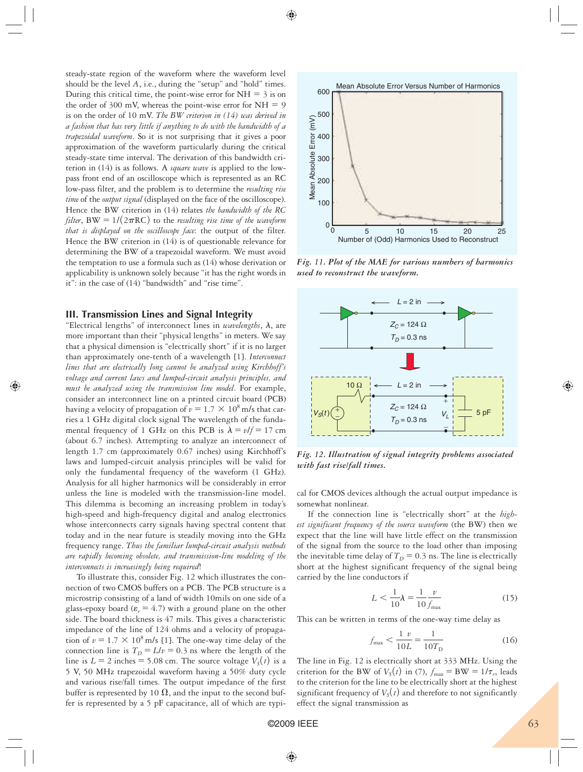steady-state region of the waveform where the waveform level should be the level *A*, i.e., during the "setup" and "hold" times. During this critical time, the point-wise error for  $NH = 3$  is on the order of 300 mV, whereas the point-wise error for  $NH = 9$ is on the order of 10 mV. *The BW criterion in (14) was derived in a fashion that has very little if anything to do with the bandwidth of a trapezoidal waveform*. So it is not surprising that it gives a poor approximation of the waveform particularly during the critical steady-state time interval. The derivation of this bandwidth criterion in (14) is as follows. A *square wave* is applied to the lowpass front end of an oscilloscope which is represented as an RC low-pass filter, and the problem is to determine the *resulting rise time* of the *output signal* (displayed on the face of the oscilloscope). Hence the BW criterion in (14) relates *the bandwidth of the RC filter*, BW =  $1/(2\pi RC)$  to the *resulting rise time of the waveform that is displayed on the oscilloscope face*: the output of the filter. Hence the BW criterion in (14) is of questionable relevance for determining the BW of a trapezoidal waveform. We must avoid the temptation to use a formula such as (14) whose derivation or applicability is unknown solely because "it has the right words in it": in the case of (14) "bandwidth" and "rise time".

## **III. Transmission Lines and Signal Integrity**

"Electrical lengths" of interconnect lines in *wavelengths*,  $\lambda$ , are more important than their "physical lengths" in meters. We say that a physical dimension is "electrically short" if it is no larger than approximately one-tenth of a wavelength [1]. *Interconnect lines that are electrically long cannot be analyzed using Kirchhoff's voltage and current laws and lumped-circuit analysis principles, and must be analyzed using the transmission line model*. For example, consider an interconnect line on a printed circuit board (PCB) having a velocity of propagation of  $\nu = 1.7 \times 10^8$  m/s that carries a 1 GHz digital clock signal The wavelength of the fundamental frequency of 1 GHz on this PCB is  $\lambda = v/f = 17$  cm (about 6.7 inches). Attempting to analyze an interconnect of length 1.7 cm (approximately 0.67 inches) using Kirchhoff's laws and lumped-circuit analysis principles will be valid for only the fundamental frequency of the waveform (1 GHz). Analysis for all higher harmonics will be considerably in error unless the line is modeled with the transmission-line model. This dilemma is becoming an increasing problem in today's high-speed and high-frequency digital and analog electronics whose interconnects carry signals having spectral content that today and in the near future is steadily moving into the GHz frequency range. *Thus the familiar lumped-circuit analysis methods are rapidly becoming obsolete, and transmission-line modeling of the interconnects is increasingly being required*!

To illustrate this, consider Fig. 12 which illustrates the connection of two CMOS buffers on a PCB. The PCB structure is a microstrip consisting of a land of width 10mils on one side of a glass-epoxy board  $(\varepsilon_r = 4.7)$  with a ground plane on the other side. The board thickness is 47 mils. This gives a characteristic impedance of the line of 124 ohms and a velocity of propagation of  $v = 1.7 \times 10^8$  m/s [1]. The one-way time delay of the connection line is  $T_D = L/v = 0.3$  ns where the length of the line is  $L = 2$  inches = 5.08 cm. The source voltage  $V_s(t)$  is a 5 V, 50 MHz trapezoidal waveform having a 50% duty cycle and various rise/fall times. The output impedance of the first buffer is represented by 10  $\Omega$ , and the input to the second buffer is represented by a 5 pF capacitance, all of which are typi-



*Fig. 11. Plot of the MAE for various numbers of harmonics used to reconstruct the waveform.*



*Fig. 12. Illustration of signal integrity problems associated with fast rise/fall times.*

cal for CMOS devices although the actual output impedance is somewhat nonlinear.

If the connection line is "electrically short" at the *highest significant frequency of the source waveform* (the BW) then we expect that the line will have little effect on the transmission of the signal from the source to the load other than imposing the inevitable time delay of  $T_D = 0.3$  ns. The line is electrically short at the highest significant frequency of the signal being carried by the line conductors if

$$
L < \frac{1}{10}\lambda = \frac{1}{10} \frac{v}{f_{\text{max}}}
$$
\n(15)

This can be written in terms of the one-way time delay as

$$
f_{\text{max}} < \frac{1}{10L} = \frac{1}{10T_{\text{D}}} \tag{16}
$$

The line in Fig. 12 is electrically short at 333 MHz. Using the criterion for the BW of  $V_s(t)$  in (7),  $f_{\text{max}} = BW = 1/\tau_r$ , leads to the criterion for the line to be electrically short at the highest significant frequency of  $V_s(t)$  and therefore to not significantly effect the signal transmission as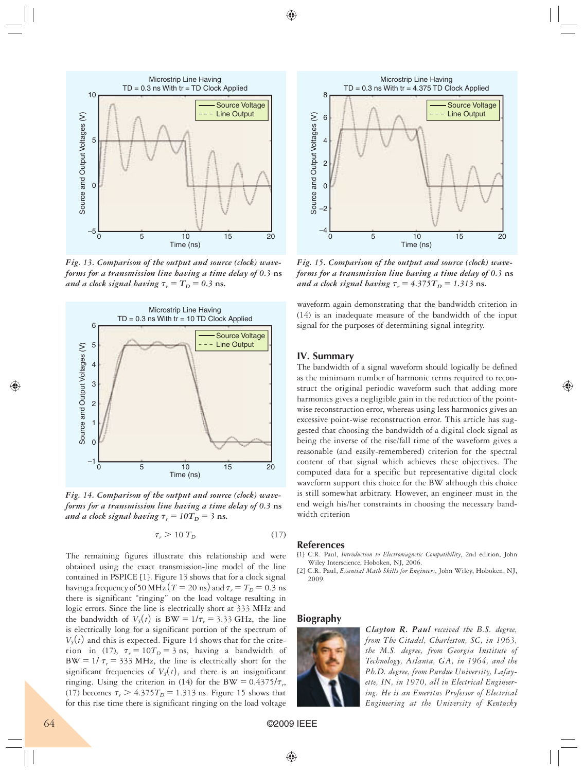

*Fig. 13. Comparison of the output and source (clock) waveforms for a transmission line having a time delay of 0.3* **ns** *and a clock signal having*  $\tau_r = T_D = 0.3$  *ns.* 



*Fig. 14. Comparison of the output and source (clock) waveforms for a transmission line having a time delay of 0.3* **ns** *and a clock signal having*  $\tau_r = 10T_D = 3$  *ns.* 

$$
\tau_r > 10 \, T_D \tag{17}
$$

The remaining figures illustrate this relationship and were obtained using the exact transmission-line model of the line contained in PSPICE [1]. Figure 13 shows that for a clock signal having a frequency of 50 MHz  $(T = 20 \text{ ns})$  and  $\tau_r = T_D = 0.3 \text{ ns}$ there is significant "ringing" on the load voltage resulting in logic errors. Since the line is electrically short at 333 MHz and the bandwidth of  $V_s(t)$  is BW =  $1/\tau_r$  = 3.33 GHz, the line is electrically long for a significant portion of the spectrum of  $V<sub>S</sub>(t)$  and this is expected. Figure 14 shows that for the criterion in (17),  $\tau_r = 10T_D = 3$  ns, having a bandwidth of  $BW = 1/\tau_r = 333 MHz$ , the line is electrically short for the significant frequencies of  $V<sub>s</sub>(t)$ , and there is an insignificant ringing. Using the criterion in (14) for the BW =  $0.4375/\tau_r$ , (17) becomes  $\tau_r > 4.375T_D = 1.313$  ns. Figure 15 shows that for this rise time there is significant ringing on the load voltage



*Fig. 15. Comparison of the output and source (clock) waveforms for a transmission line having a time delay of 0.3* **ns** *and a clock signal having*  $\tau_r = 4.375T_D = 1.313$  *ns.* 

waveform again demonstrating that the bandwidth criterion in (14) is an inadequate measure of the bandwidth of the input signal for the purposes of determining signal integrity.

## **IV. Summary**

The bandwidth of a signal waveform should logically be defined as the minimum number of harmonic terms required to reconstruct the original periodic waveform such that adding more harmonics gives a negligible gain in the reduction of the pointwise reconstruction error, whereas using less harmonics gives an excessive point-wise reconstruction error. This article has suggested that choosing the bandwidth of a digital clock signal as being the inverse of the rise/fall time of the waveform gives a reasonable (and easily-remembered) criterion for the spectral content of that signal which achieves these objectives. The computed data for a specific but representative digital clock waveform support this choice for the BW although this choice is still somewhat arbitrary. However, an engineer must in the end weigh his/her constraints in choosing the necessary bandwidth criterion

### **References**

[1] C.R. Paul, *Introduction to Electromagnetic Compatibility*, 2nd edition, John Wiley Interscience, Hoboken, NJ, 2006.

[2] C.R. Paul, *Essential Math Skills for Engineers*, John Wiley, Hoboken, NJ, 2009.

### **Biography**



*Clayton R. Paul received the B.S. degree, from The Citadel, Charleston, SC, in 1963, the M.S. degree, from Georgia Institute of Technology, Atlanta, GA, in 1964, and the Ph.D. degree, from Purdue University, Lafayette, IN, in 1970, all in Electrical Engineering. He is an Emeritus Professor of Electrical Engineering at the University of Kentucky*